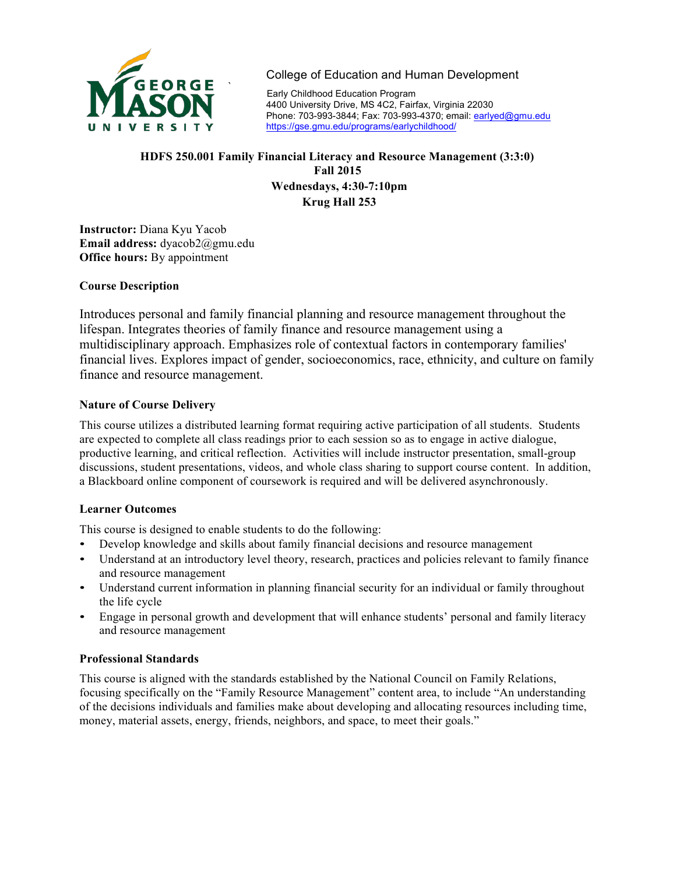

College of Education and Human Development<br>Early Childhood Education Program

4400 University Drive, MS 4C2, Fairfax, Virginia 22030 Phone: 703-993-3844; Fax: 703-993-4370; email: earlyed@gmu.edu https://gse.gmu.edu/programs/earlychildhood/

## **HDFS 250.001 Family Financial Literacy and Resource Management (3:3:0) Fall 2015 Wednesdays, 4:30-7:10pm Krug Hall 253**

**Instructor:** Diana Kyu Yacob **Email address:** dyacob2@gmu.edu **Office hours:** By appointment

#### **Course Description**

Introduces personal and family financial planning and resource management throughout the lifespan. Integrates theories of family finance and resource management using a multidisciplinary approach. Emphasizes role of contextual factors in contemporary families' financial lives. Explores impact of gender, socioeconomics, race, ethnicity, and culture on family finance and resource management.

#### **Nature of Course Delivery**

This course utilizes a distributed learning format requiring active participation of all students. Students are expected to complete all class readings prior to each session so as to engage in active dialogue, productive learning, and critical reflection. Activities will include instructor presentation, small-group discussions, student presentations, videos, and whole class sharing to support course content. In addition, a Blackboard online component of coursework is required and will be delivered asynchronously.

#### **Learner Outcomes**

This course is designed to enable students to do the following:

- Develop knowledge and skills about family financial decisions and resource management
- Understand at an introductory level theory, research, practices and policies relevant to family finance and resource management
- Understand current information in planning financial security for an individual or family throughout the life cycle
- Engage in personal growth and development that will enhance students' personal and family literacy and resource management

#### **Professional Standards**

This course is aligned with the standards established by the National Council on Family Relations, focusing specifically on the "Family Resource Management" content area, to include "An understanding of the decisions individuals and families make about developing and allocating resources including time, money, material assets, energy, friends, neighbors, and space, to meet their goals."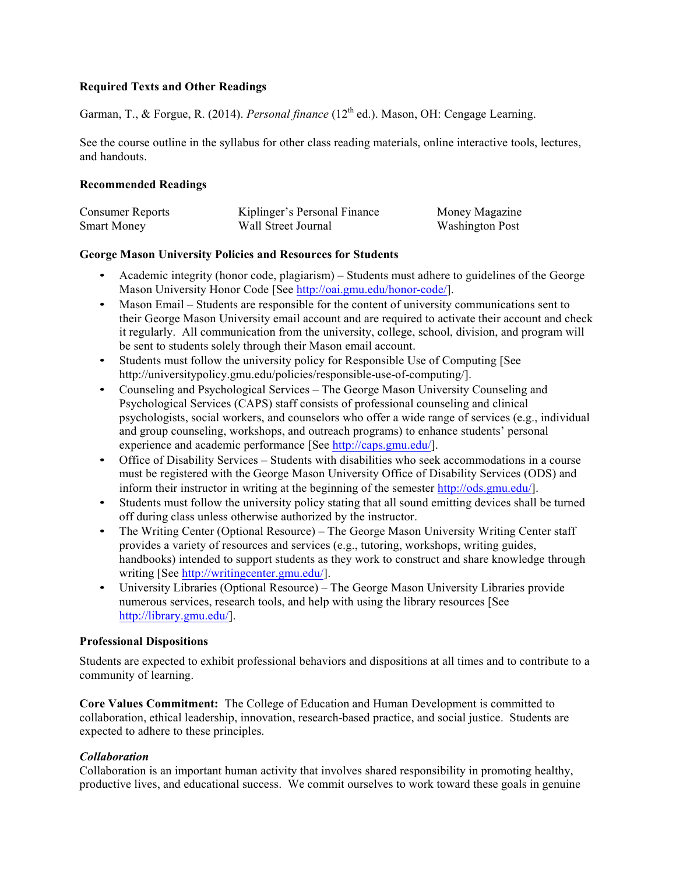## **Required Texts and Other Readings**

Garman, T., & Forgue, R. (2014). *Personal finance* (12<sup>th</sup> ed.). Mason, OH: Cengage Learning.

See the course outline in the syllabus for other class reading materials, online interactive tools, lectures, and handouts.

#### **Recommended Readings**

| <b>Consumer Reports</b> | Kiplinger's Personal Finance | Money Magazine         |
|-------------------------|------------------------------|------------------------|
| <b>Smart Money</b>      | Wall Street Journal          | <b>Washington Post</b> |

## **George Mason University Policies and Resources for Students**

- Academic integrity (honor code, plagiarism) Students must adhere to guidelines of the George Mason University Honor Code [See http://oai.gmu.edu/honor-code/].
- Mason Email Students are responsible for the content of university communications sent to their George Mason University email account and are required to activate their account and check it regularly. All communication from the university, college, school, division, and program will be sent to students solely through their Mason email account.
- Students must follow the university policy for Responsible Use of Computing [See http://universitypolicy.gmu.edu/policies/responsible-use-of-computing/].
- Counseling and Psychological Services The George Mason University Counseling and Psychological Services (CAPS) staff consists of professional counseling and clinical psychologists, social workers, and counselors who offer a wide range of services (e.g., individual and group counseling, workshops, and outreach programs) to enhance students' personal experience and academic performance [See http://caps.gmu.edu/].
- Office of Disability Services Students with disabilities who seek accommodations in a course must be registered with the George Mason University Office of Disability Services (ODS) and inform their instructor in writing at the beginning of the semester http://ods.gmu.edu/].
- Students must follow the university policy stating that all sound emitting devices shall be turned off during class unless otherwise authorized by the instructor.
- The Writing Center (Optional Resource) The George Mason University Writing Center staff provides a variety of resources and services (e.g., tutoring, workshops, writing guides, handbooks) intended to support students as they work to construct and share knowledge through writing [See http://writingcenter.gmu.edu/].
- University Libraries (Optional Resource) The George Mason University Libraries provide numerous services, research tools, and help with using the library resources [See http://library.gmu.edu/].

#### **Professional Dispositions**

Students are expected to exhibit professional behaviors and dispositions at all times and to contribute to a community of learning.

**Core Values Commitment:** The College of Education and Human Development is committed to collaboration, ethical leadership, innovation, research-based practice, and social justice. Students are expected to adhere to these principles.

## *Collaboration*

Collaboration is an important human activity that involves shared responsibility in promoting healthy, productive lives, and educational success. We commit ourselves to work toward these goals in genuine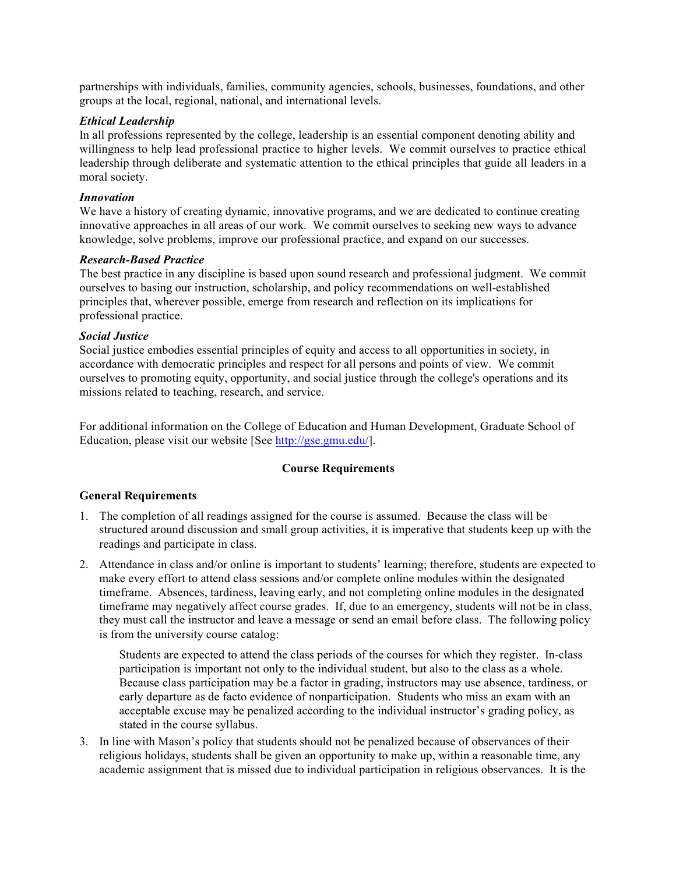partnerships with individuals, families, community agencies, schools, businesses, foundations, and other groups at the local, regional, national, and international levels.

#### *Ethical Leadership*

In all professions represented by the college, leadership is an essential component denoting ability and willingness to help lead professional practice to higher levels. We commit ourselves to practice ethical leadership through deliberate and systematic attention to the ethical principles that guide all leaders in a moral society.

#### *Innovation*

We have a history of creating dynamic, innovative programs, and we are dedicated to continue creating innovative approaches in all areas of our work. We commit ourselves to seeking new ways to advance knowledge, solve problems, improve our professional practice, and expand on our successes.

## *Research-Based Practice*

The best practice in any discipline is based upon sound research and professional judgment. We commit ourselves to basing our instruction, scholarship, and policy recommendations on well-established principles that, wherever possible, emerge from research and reflection on its implications for professional practice.

#### *Social Justice*

Social justice embodies essential principles of equity and access to all opportunities in society, in accordance with democratic principles and respect for all persons and points of view. We commit ourselves to promoting equity, opportunity, and social justice through the college's operations and its missions related to teaching, research, and service.

For additional information on the College of Education and Human Development, Graduate School of Education, please visit our website [See http://gse.gmu.edu/].

#### **Course Requirements**

#### **General Requirements**

- 1. The completion of all readings assigned for the course is assumed. Because the class will be structured around discussion and small group activities, it is imperative that students keep up with the readings and participate in class.
- 2. Attendance in class and/or online is important to students' learning; therefore, students are expected to make every effort to attend class sessions and/or complete online modules within the designated timeframe. Absences, tardiness, leaving early, and not completing online modules in the designated timeframe may negatively affect course grades. If, due to an emergency, students will not be in class, they must call the instructor and leave a message or send an email before class. The following policy is from the university course catalog:

Students are expected to attend the class periods of the courses for which they register. In-class participation is important not only to the individual student, but also to the class as a whole. Because class participation may be a factor in grading, instructors may use absence, tardiness, or early departure as de facto evidence of nonparticipation. Students who miss an exam with an acceptable excuse may be penalized according to the individual instructor's grading policy, as stated in the course syllabus.

3. In line with Mason's policy that students should not be penalized because of observances of their religious holidays, students shall be given an opportunity to make up, within a reasonable time, any academic assignment that is missed due to individual participation in religious observances. It is the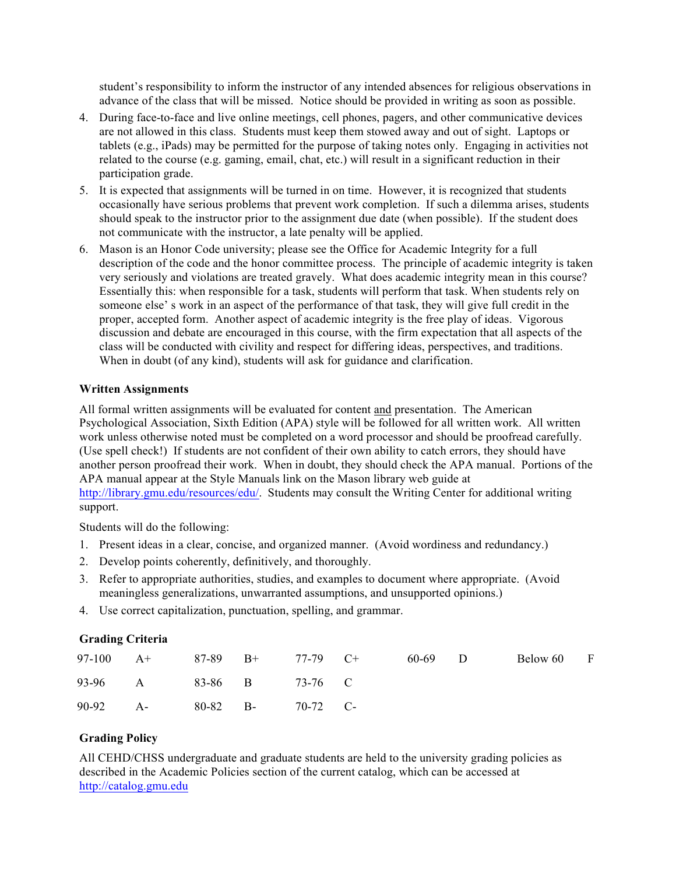student's responsibility to inform the instructor of any intended absences for religious observations in advance of the class that will be missed. Notice should be provided in writing as soon as possible.

- 4. During face-to-face and live online meetings, cell phones, pagers, and other communicative devices are not allowed in this class. Students must keep them stowed away and out of sight. Laptops or tablets (e.g., iPads) may be permitted for the purpose of taking notes only. Engaging in activities not related to the course (e.g. gaming, email, chat, etc.) will result in a significant reduction in their participation grade.
- 5. It is expected that assignments will be turned in on time. However, it is recognized that students occasionally have serious problems that prevent work completion. If such a dilemma arises, students should speak to the instructor prior to the assignment due date (when possible). If the student does not communicate with the instructor, a late penalty will be applied.
- 6. Mason is an Honor Code university; please see the Office for Academic Integrity for a full description of the code and the honor committee process. The principle of academic integrity is taken very seriously and violations are treated gravely. What does academic integrity mean in this course? Essentially this: when responsible for a task, students will perform that task. When students rely on someone else' s work in an aspect of the performance of that task, they will give full credit in the proper, accepted form. Another aspect of academic integrity is the free play of ideas. Vigorous discussion and debate are encouraged in this course, with the firm expectation that all aspects of the class will be conducted with civility and respect for differing ideas, perspectives, and traditions. When in doubt (of any kind), students will ask for guidance and clarification.

#### **Written Assignments**

All formal written assignments will be evaluated for content and presentation. The American Psychological Association, Sixth Edition (APA) style will be followed for all written work. All written work unless otherwise noted must be completed on a word processor and should be proofread carefully. (Use spell check!) If students are not confident of their own ability to catch errors, they should have another person proofread their work. When in doubt, they should check the APA manual. Portions of the APA manual appear at the Style Manuals link on the Mason library web guide at http://library.gmu.edu/resources/edu/. Students may consult the Writing Center for additional writing support.

Students will do the following:

- 1. Present ideas in a clear, concise, and organized manner. (Avoid wordiness and redundancy.)
- 2. Develop points coherently, definitively, and thoroughly.
- 3. Refer to appropriate authorities, studies, and examples to document where appropriate. (Avoid meaningless generalizations, unwarranted assumptions, and unsupported opinions.)
- 4. Use correct capitalization, punctuation, spelling, and grammar.

#### **Grading Criteria**

| $97-100 \t A+$ |                         | $87-89$ B+ | 77-79 C+ | 60-69 D | Below 60 | $\Gamma$ |
|----------------|-------------------------|------------|----------|---------|----------|----------|
|                | 93-96 A 83-86 B 73-76 C |            |          |         |          |          |
| 90-92 A-       |                         | 80-82 B-   | 70-72 C- |         |          |          |

## **Grading Policy**

All CEHD/CHSS undergraduate and graduate students are held to the university grading policies as described in the Academic Policies section of the current catalog, which can be accessed at http://catalog.gmu.edu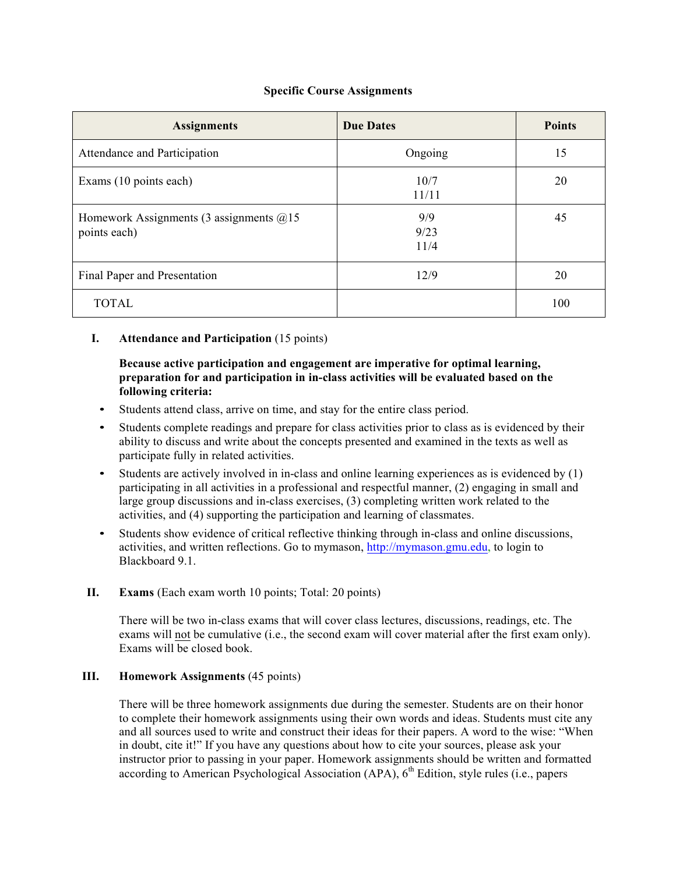## **Specific Course Assignments**

| <b>Assignments</b>                                        | <b>Due Dates</b>    | <b>Points</b> |
|-----------------------------------------------------------|---------------------|---------------|
| Attendance and Participation                              | Ongoing             | 15            |
| Exams (10 points each)                                    | 10/7<br>11/11       | 20            |
| Homework Assignments (3 assignments $@15$<br>points each) | 9/9<br>9/23<br>11/4 | 45            |
| Final Paper and Presentation                              | 12/9                | 20            |
| <b>TOTAL</b>                                              |                     | 100           |

## **I. Attendance and Participation** (15 points)

## **Because active participation and engagement are imperative for optimal learning, preparation for and participation in in-class activities will be evaluated based on the following criteria:**

- Students attend class, arrive on time, and stay for the entire class period.
- Students complete readings and prepare for class activities prior to class as is evidenced by their ability to discuss and write about the concepts presented and examined in the texts as well as participate fully in related activities.
- Students are actively involved in in-class and online learning experiences as is evidenced by (1) participating in all activities in a professional and respectful manner, (2) engaging in small and large group discussions and in-class exercises, (3) completing written work related to the activities, and (4) supporting the participation and learning of classmates.
- Students show evidence of critical reflective thinking through in-class and online discussions, activities, and written reflections. Go to mymason, http://mymason.gmu.edu, to login to Blackboard 9.1.
- **II. Exams** (Each exam worth 10 points; Total: 20 points)

There will be two in-class exams that will cover class lectures, discussions, readings, etc. The exams will not be cumulative (i.e., the second exam will cover material after the first exam only). Exams will be closed book.

## **III. Homework Assignments** (45 points)

There will be three homework assignments due during the semester. Students are on their honor to complete their homework assignments using their own words and ideas. Students must cite any and all sources used to write and construct their ideas for their papers. A word to the wise: "When in doubt, cite it!" If you have any questions about how to cite your sources, please ask your instructor prior to passing in your paper. Homework assignments should be written and formatted according to American Psychological Association (APA),  $6<sup>th</sup>$  Edition, style rules (i.e., papers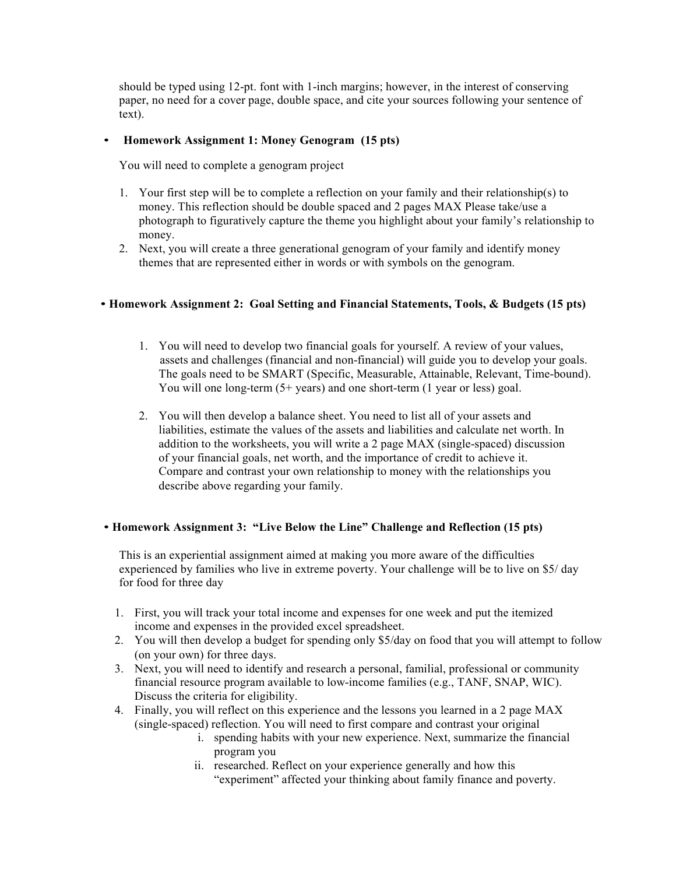should be typed using 12-pt. font with 1-inch margins; however, in the interest of conserving paper, no need for a cover page, double space, and cite your sources following your sentence of text).

## • **Homework Assignment 1: Money Genogram (15 pts)**

You will need to complete a genogram project

- 1. Your first step will be to complete a reflection on your family and their relationship(s) to money. This reflection should be double spaced and 2 pages MAX Please take/use a photograph to figuratively capture the theme you highlight about your family's relationship to money.
- 2. Next, you will create a three generational genogram of your family and identify money themes that are represented either in words or with symbols on the genogram.

## • **Homework Assignment 2: Goal Setting and Financial Statements, Tools, & Budgets (15 pts)**

- 1. You will need to develop two financial goals for yourself. A review of your values, assets and challenges (financial and non-financial) will guide you to develop your goals. The goals need to be SMART (Specific, Measurable, Attainable, Relevant, Time-bound). You will one long-term (5+ years) and one short-term (1 year or less) goal.
- 2. You will then develop a balance sheet. You need to list all of your assets and liabilities, estimate the values of the assets and liabilities and calculate net worth. In addition to the worksheets, you will write a 2 page MAX (single-spaced) discussion of your financial goals, net worth, and the importance of credit to achieve it. Compare and contrast your own relationship to money with the relationships you describe above regarding your family.

#### • **Homework Assignment 3: "Live Below the Line" Challenge and Reflection (15 pts)**

This is an experiential assignment aimed at making you more aware of the difficulties experienced by families who live in extreme poverty. Your challenge will be to live on \$5/ day for food for three day

- 1. First, you will track your total income and expenses for one week and put the itemized income and expenses in the provided excel spreadsheet.
- 2. You will then develop a budget for spending only \$5/day on food that you will attempt to follow (on your own) for three days.
- 3. Next, you will need to identify and research a personal, familial, professional or community financial resource program available to low-income families (e.g., TANF, SNAP, WIC). Discuss the criteria for eligibility.
- 4. Finally, you will reflect on this experience and the lessons you learned in a 2 page MAX (single-spaced) reflection. You will need to first compare and contrast your original
	- i. spending habits with your new experience. Next, summarize the financial program you
	- ii. researched. Reflect on your experience generally and how this "experiment" affected your thinking about family finance and poverty.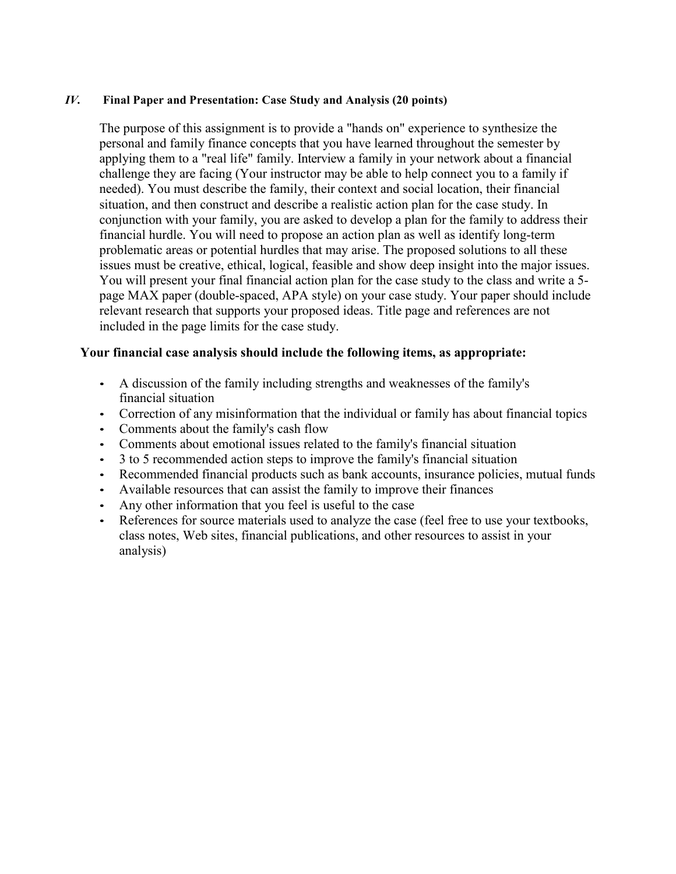## *IV.* **Final Paper and Presentation: Case Study and Analysis (20 points)**

The purpose of this assignment is to provide a "hands on" experience to synthesize the personal and family finance concepts that you have learned throughout the semester by applying them to a "real life" family. Interview a family in your network about a financial challenge they are facing (Your instructor may be able to help connect you to a family if needed). You must describe the family, their context and social location, their financial situation, and then construct and describe a realistic action plan for the case study. In conjunction with your family, you are asked to develop a plan for the family to address their financial hurdle. You will need to propose an action plan as well as identify long-term problematic areas or potential hurdles that may arise. The proposed solutions to all these issues must be creative, ethical, logical, feasible and show deep insight into the major issues. You will present your final financial action plan for the case study to the class and write a 5 page MAX paper (double-spaced, APA style) on your case study. Your paper should include relevant research that supports your proposed ideas. Title page and references are not included in the page limits for the case study.

## **Your financial case analysis should include the following items, as appropriate:**

- A discussion of the family including strengths and weaknesses of the family's financial situation
- Correction of any misinformation that the individual or family has about financial topics
- Comments about the family's cash flow
- Comments about emotional issues related to the family's financial situation
- 3 to 5 recommended action steps to improve the family's financial situation
- Recommended financial products such as bank accounts, insurance policies, mutual funds
- Available resources that can assist the family to improve their finances
- Any other information that you feel is useful to the case
- References for source materials used to analyze the case (feel free to use your textbooks, class notes, Web sites, financial publications, and other resources to assist in your analysis)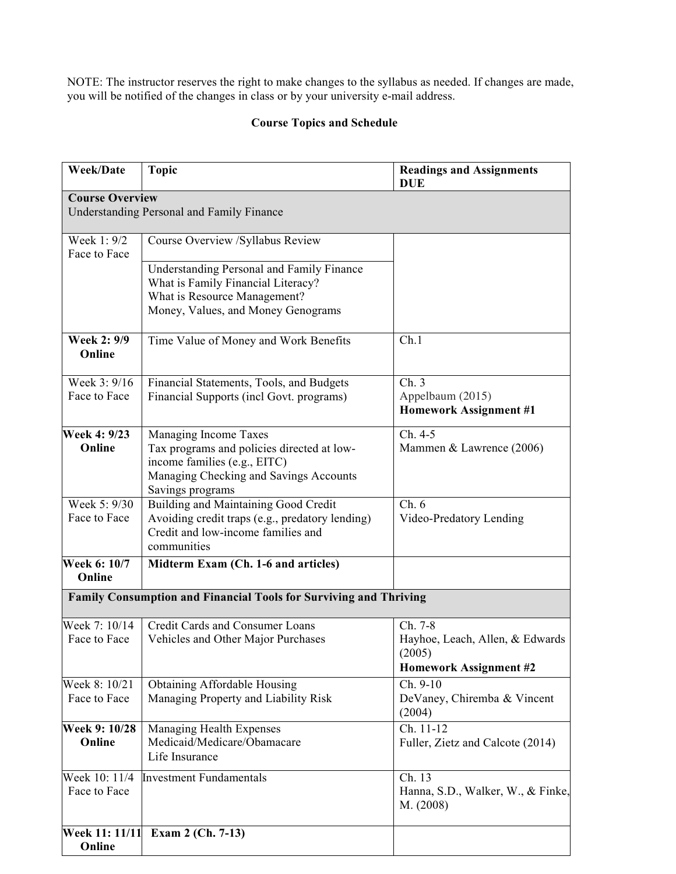NOTE: The instructor reserves the right to make changes to the syllabus as needed. If changes are made, you will be notified of the changes in class or by your university e-mail address.

## **Course Topics and Schedule**

| <b>Week/Date</b>              | <b>Topic</b>                                                                                                                                                      | <b>Readings and Assignments</b><br><b>DUE</b>                                  |  |  |  |  |
|-------------------------------|-------------------------------------------------------------------------------------------------------------------------------------------------------------------|--------------------------------------------------------------------------------|--|--|--|--|
| <b>Course Overview</b>        |                                                                                                                                                                   |                                                                                |  |  |  |  |
|                               | <b>Understanding Personal and Family Finance</b>                                                                                                                  |                                                                                |  |  |  |  |
| Week 1: 9/2<br>Face to Face   | Course Overview /Syllabus Review                                                                                                                                  |                                                                                |  |  |  |  |
|                               | Understanding Personal and Family Finance<br>What is Family Financial Literacy?<br>What is Resource Management?<br>Money, Values, and Money Genograms             |                                                                                |  |  |  |  |
| <b>Week 2: 9/9</b><br>Online  | Time Value of Money and Work Benefits                                                                                                                             | Ch.1                                                                           |  |  |  |  |
| Week 3: 9/16<br>Face to Face  | Financial Statements, Tools, and Budgets<br>Financial Supports (incl Govt. programs)                                                                              | Ch.3<br>Appelbaum (2015)<br><b>Homework Assignment #1</b>                      |  |  |  |  |
| Week 4: 9/23<br>Online        | Managing Income Taxes<br>Tax programs and policies directed at low-<br>income families (e.g., EITC)<br>Managing Checking and Savings Accounts<br>Savings programs | Ch. 4-5<br>Mammen & Lawrence (2006)                                            |  |  |  |  |
| Week 5: 9/30<br>Face to Face  | <b>Building and Maintaining Good Credit</b><br>Avoiding credit traps (e.g., predatory lending)<br>Credit and low-income families and<br>communities               | Ch.6<br>Video-Predatory Lending                                                |  |  |  |  |
| Week 6: 10/7<br>Online        | Midterm Exam (Ch. 1-6 and articles)                                                                                                                               |                                                                                |  |  |  |  |
|                               | Family Consumption and Financial Tools for Surviving and Thriving                                                                                                 |                                                                                |  |  |  |  |
| Week 7: 10/14<br>Face to Face | Credit Cards and Consumer Loans<br>Vehicles and Other Major Purchases                                                                                             | Ch. 7-8<br>Hayhoe, Leach, Allen, & Edwards<br>(2005)<br>Homework Assignment #2 |  |  |  |  |
| Week 8: 10/21<br>Face to Face | <b>Obtaining Affordable Housing</b><br>Managing Property and Liability Risk                                                                                       | Ch. 9-10<br>DeVaney, Chiremba & Vincent<br>(2004)                              |  |  |  |  |
| Week 9: 10/28<br>Online       | Managing Health Expenses<br>Medicaid/Medicare/Obamacare<br>Life Insurance                                                                                         | Ch. 11-12<br>Fuller, Zietz and Calcote (2014)                                  |  |  |  |  |
| Week 10: 11/4<br>Face to Face | <b>Investment Fundamentals</b>                                                                                                                                    | Ch. 13<br>Hanna, S.D., Walker, W., & Finke,<br>M. (2008)                       |  |  |  |  |
| Week 11: 11/11<br>Online      | Exam 2 (Ch. 7-13)                                                                                                                                                 |                                                                                |  |  |  |  |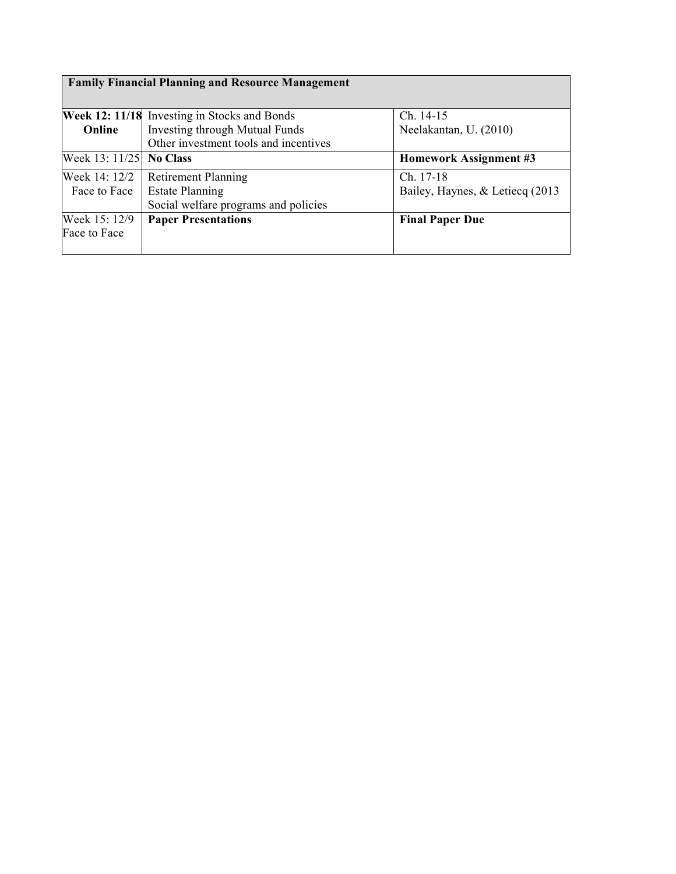| <b>Family Financial Planning and Resource Management</b> |                                              |                                  |  |  |  |
|----------------------------------------------------------|----------------------------------------------|----------------------------------|--|--|--|
|                                                          | Week 12: 11/18 Investing in Stocks and Bonds | $Ch. 14-15$                      |  |  |  |
| Online                                                   | Investing through Mutual Funds               | Neelakantan, U. (2010)           |  |  |  |
| Other investment tools and incentives                    |                                              |                                  |  |  |  |
| Week 13: 11/25                                           | <b>No Class</b>                              | Homework Assignment #3           |  |  |  |
| Week 14: 12/2                                            | <b>Retirement Planning</b>                   | Ch. 17-18                        |  |  |  |
| Face to Face                                             | <b>Estate Planning</b>                       | Bailey, Haynes, & Letiecq (2013) |  |  |  |
|                                                          | Social welfare programs and policies         |                                  |  |  |  |
| Week 15: 12/9                                            | <b>Paper Presentations</b>                   | <b>Final Paper Due</b>           |  |  |  |
| Face to Face                                             |                                              |                                  |  |  |  |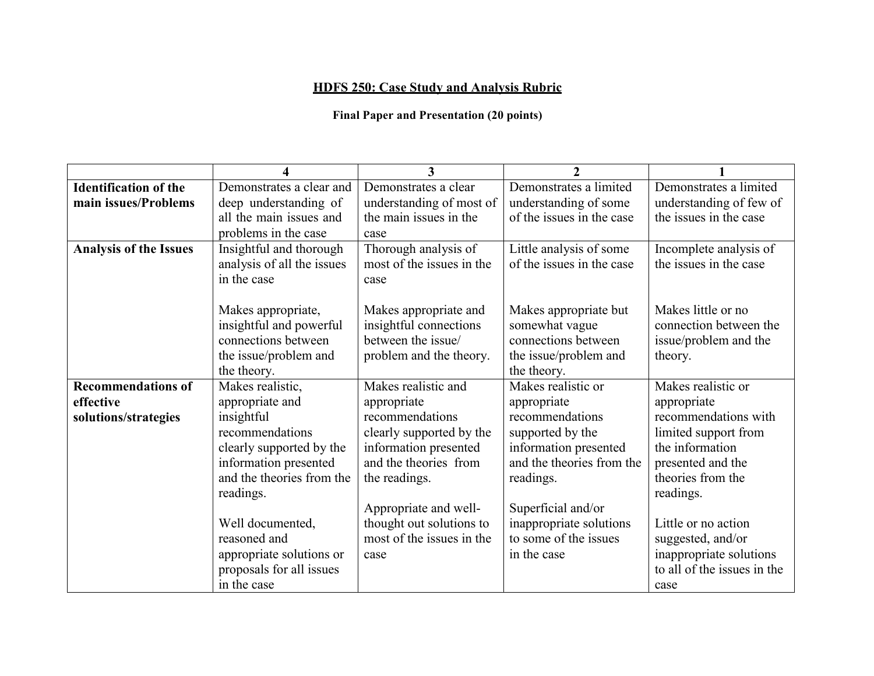# **HDFS 250: Case Study and Analysis Rubric**

## **Final Paper and Presentation (20 points)**

|                               | Δ                          | 3                         | $\overline{2}$            |                             |
|-------------------------------|----------------------------|---------------------------|---------------------------|-----------------------------|
| <b>Identification of the</b>  | Demonstrates a clear and   | Demonstrates a clear      | Demonstrates a limited    | Demonstrates a limited      |
| main issues/Problems          | deep understanding of      | understanding of most of  | understanding of some     | understanding of few of     |
|                               | all the main issues and    | the main issues in the    | of the issues in the case | the issues in the case      |
|                               | problems in the case       | case                      |                           |                             |
| <b>Analysis of the Issues</b> | Insightful and thorough    | Thorough analysis of      | Little analysis of some   | Incomplete analysis of      |
|                               | analysis of all the issues | most of the issues in the | of the issues in the case | the issues in the case      |
|                               | in the case                | case                      |                           |                             |
|                               |                            |                           |                           |                             |
|                               | Makes appropriate,         | Makes appropriate and     | Makes appropriate but     | Makes little or no          |
|                               | insightful and powerful    | insightful connections    | somewhat vague            | connection between the      |
|                               | connections between        | between the issue/        | connections between       | issue/problem and the       |
|                               | the issue/problem and      | problem and the theory.   | the issue/problem and     | theory.                     |
|                               | the theory.                |                           | the theory.               |                             |
| <b>Recommendations of</b>     | Makes realistic,           | Makes realistic and       | Makes realistic or        | Makes realistic or          |
| effective                     | appropriate and            | appropriate               | appropriate               | appropriate                 |
| solutions/strategies          | insightful                 | recommendations           | recommendations           | recommendations with        |
|                               | recommendations            | clearly supported by the  | supported by the          | limited support from        |
|                               | clearly supported by the   | information presented     | information presented     | the information             |
|                               | information presented      | and the theories from     | and the theories from the | presented and the           |
|                               | and the theories from the  | the readings.             | readings.                 | theories from the           |
|                               | readings.                  |                           |                           | readings.                   |
|                               |                            | Appropriate and well-     | Superficial and/or        |                             |
|                               | Well documented,           | thought out solutions to  | inappropriate solutions   | Little or no action         |
|                               | reasoned and               | most of the issues in the | to some of the issues     | suggested, and/or           |
|                               | appropriate solutions or   | case                      | in the case               | inappropriate solutions     |
|                               | proposals for all issues   |                           |                           | to all of the issues in the |
|                               | in the case                |                           |                           | case                        |